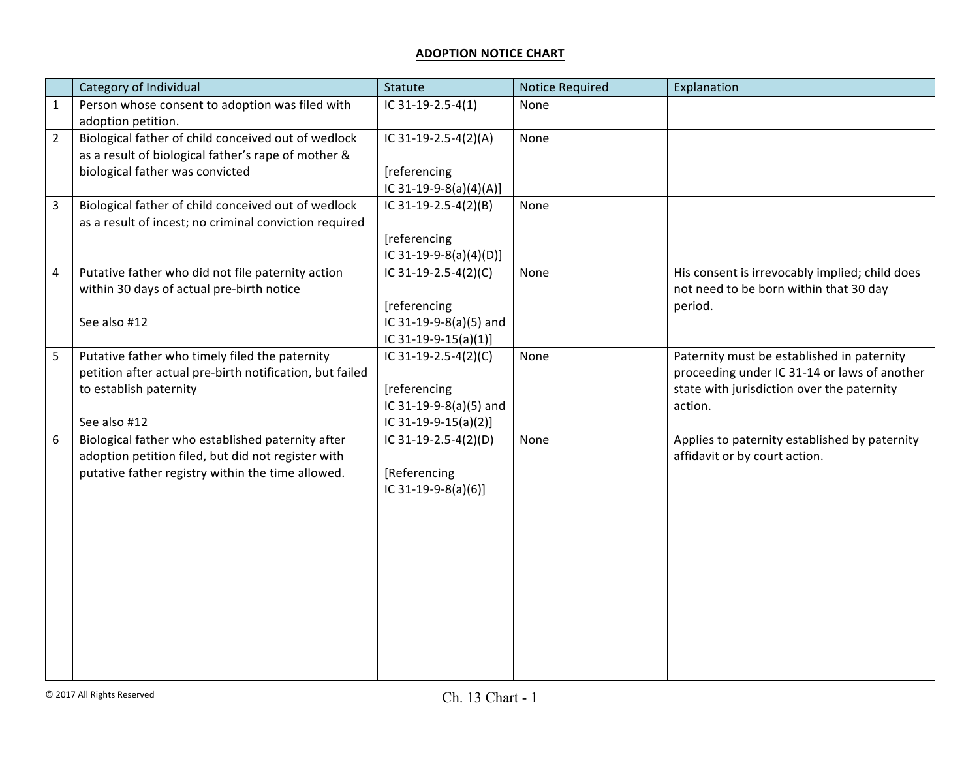## **ADOPTION NOTICE CHART**

|                | Category of Individual                                                                                                                                       | Statute                                                                                | <b>Notice Required</b> | Explanation                                                                                                                                         |
|----------------|--------------------------------------------------------------------------------------------------------------------------------------------------------------|----------------------------------------------------------------------------------------|------------------------|-----------------------------------------------------------------------------------------------------------------------------------------------------|
| $\mathbf{1}$   | Person whose consent to adoption was filed with<br>adoption petition.                                                                                        | IC 31-19-2.5-4(1)                                                                      | None                   |                                                                                                                                                     |
| $\overline{2}$ | Biological father of child conceived out of wedlock<br>as a result of biological father's rape of mother &<br>biological father was convicted                | IC 31-19-2.5-4(2)(A)<br>[referencing<br>IC 31-19-9-8(a)(4)(A)]                         | None                   |                                                                                                                                                     |
| $\overline{3}$ | Biological father of child conceived out of wedlock<br>as a result of incest; no criminal conviction required                                                | IC 31-19-2.5-4(2)(B)<br>[referencing<br>IC 31-19-9-8(a)(4)(D)]                         | None                   |                                                                                                                                                     |
| $\sqrt{4}$     | Putative father who did not file paternity action<br>within 30 days of actual pre-birth notice<br>See also #12                                               | IC 31-19-2.5-4(2)(C)<br>[referencing<br>IC 31-19-9-8(a)(5) and<br>IC 31-19-9-15(a)(1)] | None                   | His consent is irrevocably implied; child does<br>not need to be born within that 30 day<br>period.                                                 |
| 5              | Putative father who timely filed the paternity<br>petition after actual pre-birth notification, but failed<br>to establish paternity<br>See also #12         | IC 31-19-2.5-4(2)(C)<br>[referencing<br>IC 31-19-9-8(a)(5) and<br>IC 31-19-9-15(a)(2)] | None                   | Paternity must be established in paternity<br>proceeding under IC 31-14 or laws of another<br>state with jurisdiction over the paternity<br>action. |
| 6              | Biological father who established paternity after<br>adoption petition filed, but did not register with<br>putative father registry within the time allowed. | IC 31-19-2.5-4(2)(D)<br>[Referencing<br>IC 31-19-9-8(a)(6)]                            | None                   | Applies to paternity established by paternity<br>affidavit or by court action.                                                                      |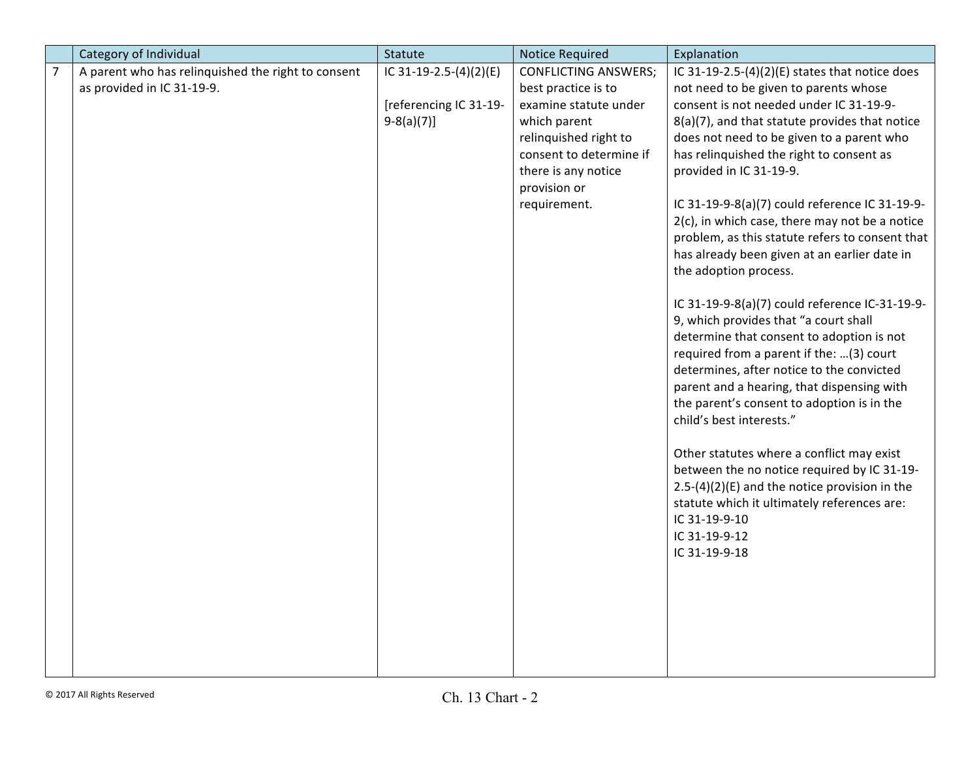|                | Category of Individual                             | Statute                | <b>Notice Required</b>      | Explanation                                     |
|----------------|----------------------------------------------------|------------------------|-----------------------------|-------------------------------------------------|
| $\overline{7}$ | A parent who has relinquished the right to consent | IC 31-19-2.5-(4)(2)(E) | <b>CONFLICTING ANSWERS;</b> | IC 31-19-2.5-(4)(2)(E) states that notice does  |
|                | as provided in IC 31-19-9.                         |                        | best practice is to         | not need to be given to parents whose           |
|                |                                                    | [referencing IC 31-19- | examine statute under       | consent is not needed under IC 31-19-9-         |
|                |                                                    | $9-8(a)(7)]$           | which parent                | 8(a)(7), and that statute provides that notice  |
|                |                                                    |                        | relinquished right to       | does not need to be given to a parent who       |
|                |                                                    |                        | consent to determine if     | has relinquished the right to consent as        |
|                |                                                    |                        | there is any notice         | provided in IC 31-19-9.                         |
|                |                                                    |                        | provision or                |                                                 |
|                |                                                    |                        | requirement.                | IC 31-19-9-8(a)(7) could reference IC 31-19-9-  |
|                |                                                    |                        |                             | 2(c), in which case, there may not be a notice  |
|                |                                                    |                        |                             | problem, as this statute refers to consent that |
|                |                                                    |                        |                             | has already been given at an earlier date in    |
|                |                                                    |                        |                             | the adoption process.                           |
|                |                                                    |                        |                             |                                                 |
|                |                                                    |                        |                             | IC 31-19-9-8(a)(7) could reference IC-31-19-9-  |
|                |                                                    |                        |                             | 9, which provides that "a court shall           |
|                |                                                    |                        |                             | determine that consent to adoption is not       |
|                |                                                    |                        |                             | required from a parent if the: (3) court        |
|                |                                                    |                        |                             | determines, after notice to the convicted       |
|                |                                                    |                        |                             | parent and a hearing, that dispensing with      |
|                |                                                    |                        |                             | the parent's consent to adoption is in the      |
|                |                                                    |                        |                             | child's best interests."                        |
|                |                                                    |                        |                             | Other statutes where a conflict may exist       |
|                |                                                    |                        |                             | between the no notice required by IC 31-19-     |
|                |                                                    |                        |                             | $2.5-(4)(2)(E)$ and the notice provision in the |
|                |                                                    |                        |                             | statute which it ultimately references are:     |
|                |                                                    |                        |                             | IC 31-19-9-10                                   |
|                |                                                    |                        |                             | IC 31-19-9-12                                   |
|                |                                                    |                        |                             | IC 31-19-9-18                                   |
|                |                                                    |                        |                             |                                                 |
|                |                                                    |                        |                             |                                                 |
|                |                                                    |                        |                             |                                                 |
|                |                                                    |                        |                             |                                                 |
|                |                                                    |                        |                             |                                                 |
|                |                                                    |                        |                             |                                                 |
|                |                                                    |                        |                             |                                                 |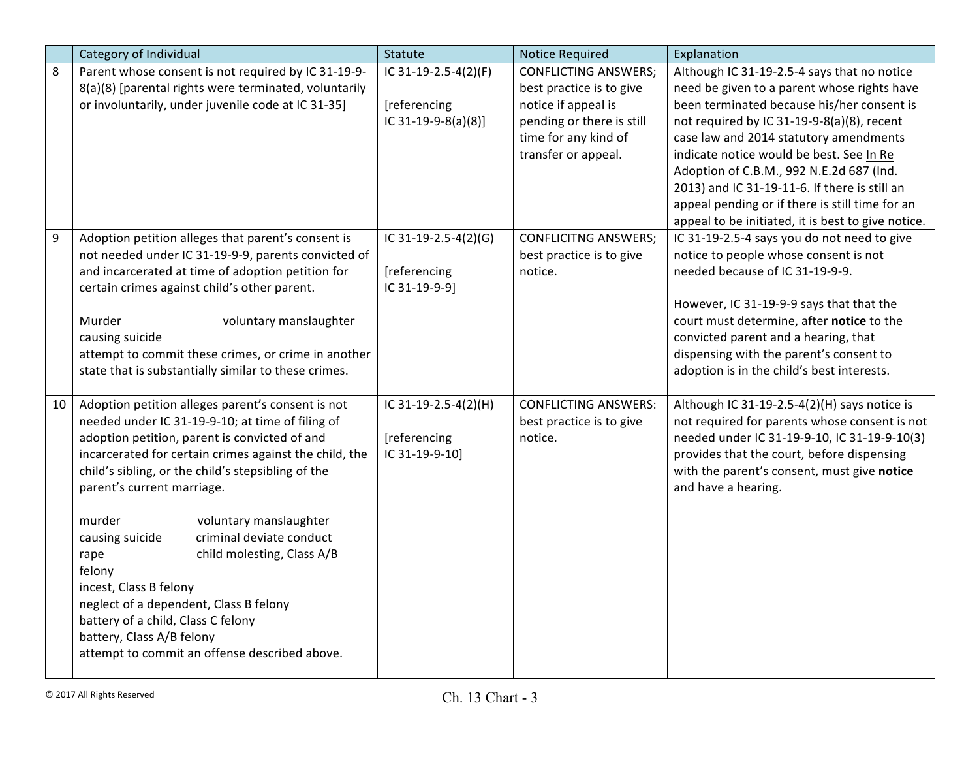|    | Category of Individual                                 | Statute              | <b>Notice Required</b>      | Explanation                                        |
|----|--------------------------------------------------------|----------------------|-----------------------------|----------------------------------------------------|
| 8  | Parent whose consent is not required by IC 31-19-9-    | IC 31-19-2.5-4(2)(F) | <b>CONFLICTING ANSWERS;</b> | Although IC 31-19-2.5-4 says that no notice        |
|    | 8(a)(8) [parental rights were terminated, voluntarily  |                      | best practice is to give    | need be given to a parent whose rights have        |
|    | or involuntarily, under juvenile code at IC 31-35]     | [referencing         | notice if appeal is         | been terminated because his/her consent is         |
|    |                                                        | IC 31-19-9-8(a)(8)]  | pending or there is still   | not required by IC 31-19-9-8(a)(8), recent         |
|    |                                                        |                      | time for any kind of        | case law and 2014 statutory amendments             |
|    |                                                        |                      | transfer or appeal.         | indicate notice would be best. See In Re           |
|    |                                                        |                      |                             | Adoption of C.B.M., 992 N.E.2d 687 (Ind.           |
|    |                                                        |                      |                             | 2013) and IC 31-19-11-6. If there is still an      |
|    |                                                        |                      |                             | appeal pending or if there is still time for an    |
|    |                                                        |                      |                             | appeal to be initiated, it is best to give notice. |
| 9  | Adoption petition alleges that parent's consent is     | IC 31-19-2.5-4(2)(G) | <b>CONFLICITNG ANSWERS;</b> | IC 31-19-2.5-4 says you do not need to give        |
|    | not needed under IC 31-19-9-9, parents convicted of    |                      | best practice is to give    | notice to people whose consent is not              |
|    | and incarcerated at time of adoption petition for      | [referencing         | notice.                     | needed because of IC 31-19-9-9.                    |
|    | certain crimes against child's other parent.           | IC 31-19-9-9]        |                             |                                                    |
|    |                                                        |                      |                             | However, IC 31-19-9-9 says that that the           |
|    | Murder<br>voluntary manslaughter                       |                      |                             | court must determine, after notice to the          |
|    | causing suicide                                        |                      |                             | convicted parent and a hearing, that               |
|    | attempt to commit these crimes, or crime in another    |                      |                             | dispensing with the parent's consent to            |
|    | state that is substantially similar to these crimes.   |                      |                             | adoption is in the child's best interests.         |
|    |                                                        |                      |                             |                                                    |
| 10 | Adoption petition alleges parent's consent is not      | IC 31-19-2.5-4(2)(H) | <b>CONFLICTING ANSWERS:</b> | Although IC 31-19-2.5-4(2)(H) says notice is       |
|    | needed under IC 31-19-9-10; at time of filing of       |                      | best practice is to give    | not required for parents whose consent is not      |
|    | adoption petition, parent is convicted of and          | [referencing         | notice.                     | needed under IC 31-19-9-10, IC 31-19-9-10(3)       |
|    | incarcerated for certain crimes against the child, the | IC 31-19-9-10]       |                             | provides that the court, before dispensing         |
|    | child's sibling, or the child's stepsibling of the     |                      |                             | with the parent's consent, must give notice        |
|    | parent's current marriage.                             |                      |                             | and have a hearing.                                |
|    | murder<br>voluntary manslaughter                       |                      |                             |                                                    |
|    | criminal deviate conduct<br>causing suicide            |                      |                             |                                                    |
|    | child molesting, Class A/B<br>rape                     |                      |                             |                                                    |
|    | felony                                                 |                      |                             |                                                    |
|    | incest, Class B felony                                 |                      |                             |                                                    |
|    | neglect of a dependent, Class B felony                 |                      |                             |                                                    |
|    | battery of a child, Class C felony                     |                      |                             |                                                    |
|    | battery, Class A/B felony                              |                      |                             |                                                    |
|    | attempt to commit an offense described above.          |                      |                             |                                                    |
|    |                                                        |                      |                             |                                                    |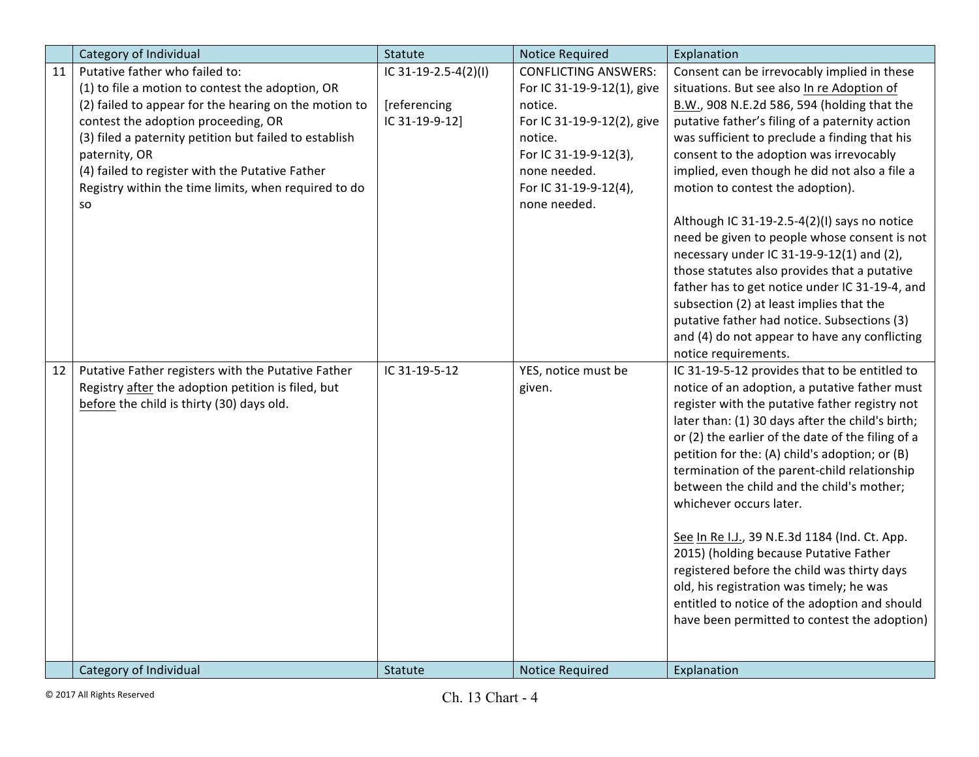|    | Category of Individual                                 | Statute              | <b>Notice Required</b>      | Explanation                                       |
|----|--------------------------------------------------------|----------------------|-----------------------------|---------------------------------------------------|
| 11 | Putative father who failed to:                         | IC 31-19-2.5-4(2)(I) | <b>CONFLICTING ANSWERS:</b> | Consent can be irrevocably implied in these       |
|    | (1) to file a motion to contest the adoption, OR       |                      | For IC 31-19-9-12(1), give  | situations. But see also In re Adoption of        |
|    | (2) failed to appear for the hearing on the motion to  | [referencing         | notice.                     | B.W., 908 N.E.2d 586, 594 (holding that the       |
|    | contest the adoption proceeding, OR                    | IC 31-19-9-12]       | For IC 31-19-9-12(2), give  | putative father's filing of a paternity action    |
|    | (3) filed a paternity petition but failed to establish |                      | notice.                     | was sufficient to preclude a finding that his     |
|    | paternity, OR                                          |                      | For IC 31-19-9-12(3),       | consent to the adoption was irrevocably           |
|    | (4) failed to register with the Putative Father        |                      | none needed.                | implied, even though he did not also a file a     |
|    | Registry within the time limits, when required to do   |                      | For IC 31-19-9-12(4),       | motion to contest the adoption).                  |
|    | so                                                     |                      | none needed.                |                                                   |
|    |                                                        |                      |                             | Although IC 31-19-2.5-4(2)(I) says no notice      |
|    |                                                        |                      |                             | need be given to people whose consent is not      |
|    |                                                        |                      |                             | necessary under IC 31-19-9-12(1) and (2),         |
|    |                                                        |                      |                             | those statutes also provides that a putative      |
|    |                                                        |                      |                             | father has to get notice under IC 31-19-4, and    |
|    |                                                        |                      |                             | subsection (2) at least implies that the          |
|    |                                                        |                      |                             | putative father had notice. Subsections (3)       |
|    |                                                        |                      |                             | and (4) do not appear to have any conflicting     |
|    |                                                        |                      |                             | notice requirements.                              |
| 12 | Putative Father registers with the Putative Father     | IC 31-19-5-12        | YES, notice must be         | IC 31-19-5-12 provides that to be entitled to     |
|    | Registry after the adoption petition is filed, but     |                      | given.                      | notice of an adoption, a putative father must     |
|    | before the child is thirty (30) days old.              |                      |                             | register with the putative father registry not    |
|    |                                                        |                      |                             | later than: (1) 30 days after the child's birth;  |
|    |                                                        |                      |                             | or (2) the earlier of the date of the filing of a |
|    |                                                        |                      |                             | petition for the: (A) child's adoption; or (B)    |
|    |                                                        |                      |                             | termination of the parent-child relationship      |
|    |                                                        |                      |                             | between the child and the child's mother;         |
|    |                                                        |                      |                             | whichever occurs later.                           |
|    |                                                        |                      |                             |                                                   |
|    |                                                        |                      |                             | See In Re I.J., 39 N.E.3d 1184 (Ind. Ct. App.     |
|    |                                                        |                      |                             | 2015) (holding because Putative Father            |
|    |                                                        |                      |                             | registered before the child was thirty days       |
|    |                                                        |                      |                             | old, his registration was timely; he was          |
|    |                                                        |                      |                             | entitled to notice of the adoption and should     |
|    |                                                        |                      |                             | have been permitted to contest the adoption)      |
|    |                                                        |                      |                             |                                                   |
|    | Category of Individual                                 | Statute              | <b>Notice Required</b>      | Explanation                                       |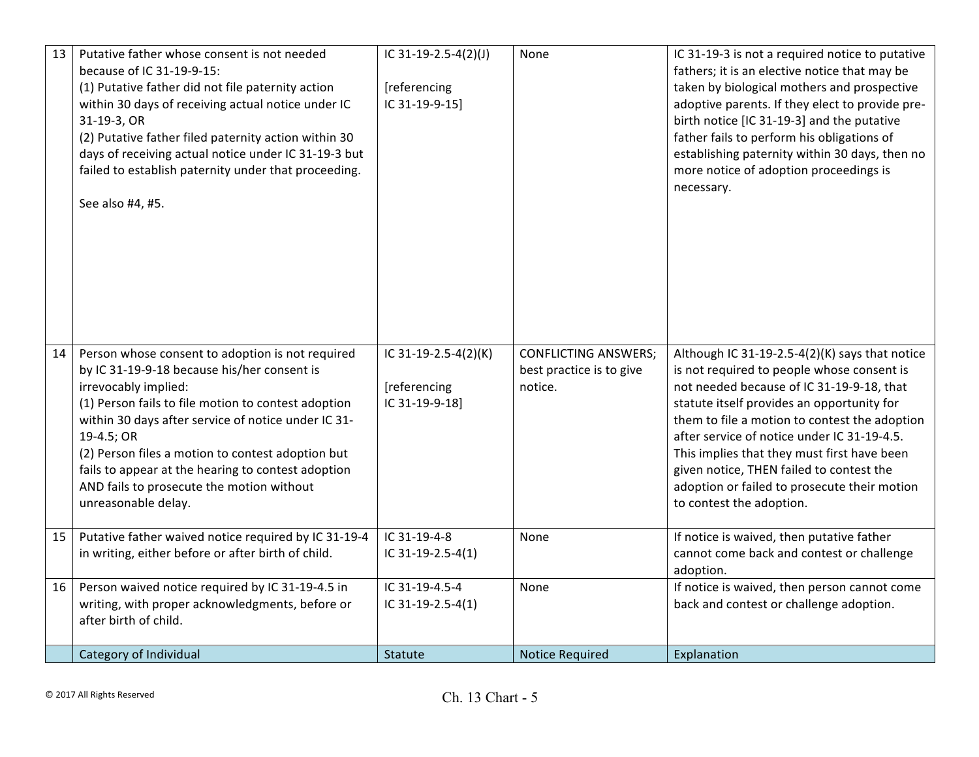| 13 | Putative father whose consent is not needed<br>because of IC 31-19-9-15:<br>(1) Putative father did not file paternity action<br>within 30 days of receiving actual notice under IC<br>31-19-3, OR<br>(2) Putative father filed paternity action within 30<br>days of receiving actual notice under IC 31-19-3 but<br>failed to establish paternity under that proceeding.<br>See also #4, #5.                                     | IC 31-19-2.5-4(2)(J)<br>[referencing<br>IC 31-19-9-15] | None                                                               | IC 31-19-3 is not a required notice to putative<br>fathers; it is an elective notice that may be<br>taken by biological mothers and prospective<br>adoptive parents. If they elect to provide pre-<br>birth notice [IC 31-19-3] and the putative<br>father fails to perform his obligations of<br>establishing paternity within 30 days, then no<br>more notice of adoption proceedings is<br>necessary.                                                       |
|----|------------------------------------------------------------------------------------------------------------------------------------------------------------------------------------------------------------------------------------------------------------------------------------------------------------------------------------------------------------------------------------------------------------------------------------|--------------------------------------------------------|--------------------------------------------------------------------|----------------------------------------------------------------------------------------------------------------------------------------------------------------------------------------------------------------------------------------------------------------------------------------------------------------------------------------------------------------------------------------------------------------------------------------------------------------|
| 14 | Person whose consent to adoption is not required<br>by IC 31-19-9-18 because his/her consent is<br>irrevocably implied:<br>(1) Person fails to file motion to contest adoption<br>within 30 days after service of notice under IC 31-<br>19-4.5; OR<br>(2) Person files a motion to contest adoption but<br>fails to appear at the hearing to contest adoption<br>AND fails to prosecute the motion without<br>unreasonable delay. | IC 31-19-2.5-4(2)(K)<br>[referencing<br>IC 31-19-9-18] | <b>CONFLICTING ANSWERS;</b><br>best practice is to give<br>notice. | Although IC 31-19-2.5-4(2)(K) says that notice<br>is not required to people whose consent is<br>not needed because of IC 31-19-9-18, that<br>statute itself provides an opportunity for<br>them to file a motion to contest the adoption<br>after service of notice under IC 31-19-4.5.<br>This implies that they must first have been<br>given notice, THEN failed to contest the<br>adoption or failed to prosecute their motion<br>to contest the adoption. |
| 15 | Putative father waived notice required by IC 31-19-4<br>in writing, either before or after birth of child.                                                                                                                                                                                                                                                                                                                         | IC 31-19-4-8<br>IC 31-19-2.5-4(1)                      | None                                                               | If notice is waived, then putative father<br>cannot come back and contest or challenge<br>adoption.                                                                                                                                                                                                                                                                                                                                                            |
| 16 | Person waived notice required by IC 31-19-4.5 in<br>writing, with proper acknowledgments, before or<br>after birth of child.                                                                                                                                                                                                                                                                                                       | IC 31-19-4.5-4<br>IC 31-19-2.5-4(1)                    | None                                                               | If notice is waived, then person cannot come<br>back and contest or challenge adoption.                                                                                                                                                                                                                                                                                                                                                                        |
|    | Category of Individual                                                                                                                                                                                                                                                                                                                                                                                                             | Statute                                                | <b>Notice Required</b>                                             | Explanation                                                                                                                                                                                                                                                                                                                                                                                                                                                    |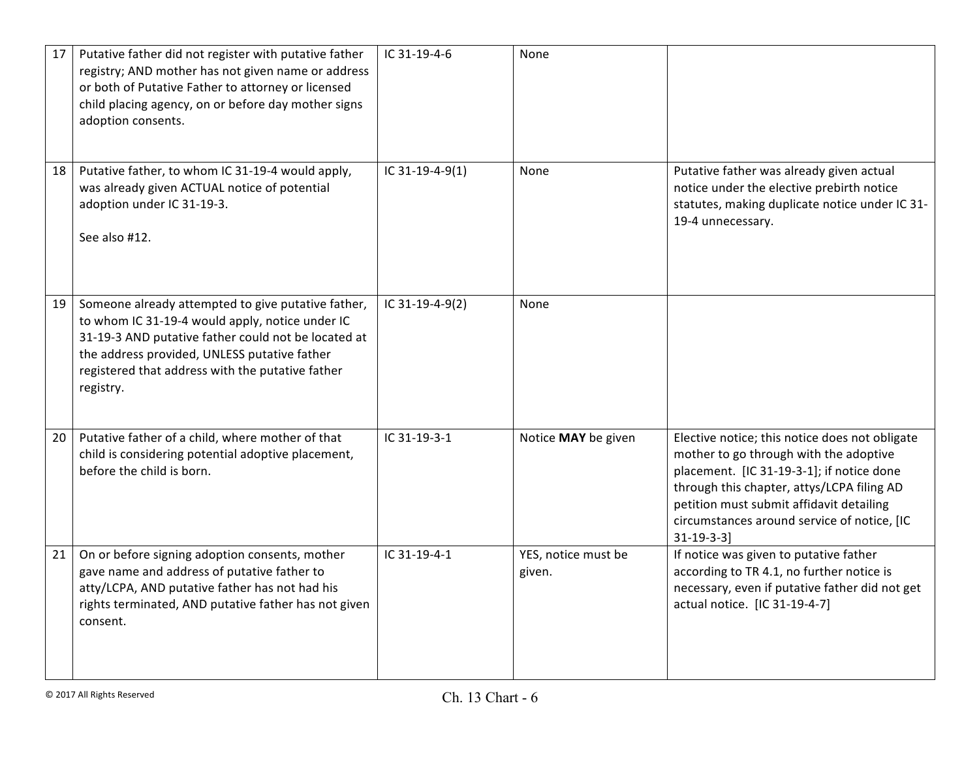| 17 | Putative father did not register with putative father<br>registry; AND mother has not given name or address<br>or both of Putative Father to attorney or licensed<br>child placing agency, on or before day mother signs<br>adoption consents.                                | IC 31-19-4-6    | None                          |                                                                                                                                                                                                                                                                                                     |
|----|-------------------------------------------------------------------------------------------------------------------------------------------------------------------------------------------------------------------------------------------------------------------------------|-----------------|-------------------------------|-----------------------------------------------------------------------------------------------------------------------------------------------------------------------------------------------------------------------------------------------------------------------------------------------------|
| 18 | Putative father, to whom IC 31-19-4 would apply,<br>was already given ACTUAL notice of potential<br>adoption under IC 31-19-3.<br>See also #12.                                                                                                                               | IC 31-19-4-9(1) | None                          | Putative father was already given actual<br>notice under the elective prebirth notice<br>statutes, making duplicate notice under IC 31-<br>19-4 unnecessary.                                                                                                                                        |
| 19 | Someone already attempted to give putative father,<br>to whom IC 31-19-4 would apply, notice under IC<br>31-19-3 AND putative father could not be located at<br>the address provided, UNLESS putative father<br>registered that address with the putative father<br>registry. | IC 31-19-4-9(2) | None                          |                                                                                                                                                                                                                                                                                                     |
| 20 | Putative father of a child, where mother of that<br>child is considering potential adoptive placement,<br>before the child is born.                                                                                                                                           | IC 31-19-3-1    | Notice MAY be given           | Elective notice; this notice does not obligate<br>mother to go through with the adoptive<br>placement. [IC 31-19-3-1]; if notice done<br>through this chapter, attys/LCPA filing AD<br>petition must submit affidavit detailing<br>circumstances around service of notice, [IC<br>$31 - 19 - 3 - 3$ |
| 21 | On or before signing adoption consents, mother<br>gave name and address of putative father to<br>atty/LCPA, AND putative father has not had his<br>rights terminated, AND putative father has not given<br>consent.                                                           | IC 31-19-4-1    | YES, notice must be<br>given. | If notice was given to putative father<br>according to TR 4.1, no further notice is<br>necessary, even if putative father did not get<br>actual notice. [IC 31-19-4-7]                                                                                                                              |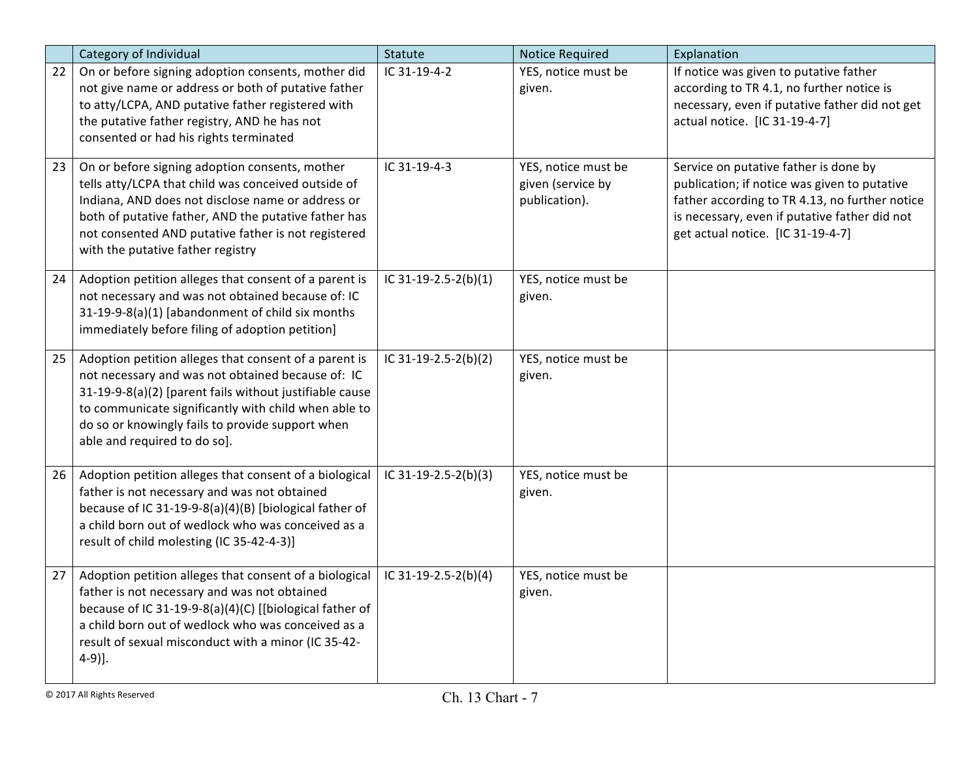|    | Category of Individual                                                                                                                                                                                                                                                                                            | Statute              | <b>Notice Required</b>                                    | Explanation                                                                                                                                                                                                                   |
|----|-------------------------------------------------------------------------------------------------------------------------------------------------------------------------------------------------------------------------------------------------------------------------------------------------------------------|----------------------|-----------------------------------------------------------|-------------------------------------------------------------------------------------------------------------------------------------------------------------------------------------------------------------------------------|
| 22 | On or before signing adoption consents, mother did<br>not give name or address or both of putative father<br>to atty/LCPA, AND putative father registered with<br>the putative father registry, AND he has not<br>consented or had his rights terminated                                                          | IC 31-19-4-2         | YES, notice must be<br>given.                             | If notice was given to putative father<br>according to TR 4.1, no further notice is<br>necessary, even if putative father did not get<br>actual notice. [IC 31-19-4-7]                                                        |
| 23 | On or before signing adoption consents, mother<br>tells atty/LCPA that child was conceived outside of<br>Indiana, AND does not disclose name or address or<br>both of putative father, AND the putative father has<br>not consented AND putative father is not registered<br>with the putative father registry    | IC 31-19-4-3         | YES, notice must be<br>given (service by<br>publication). | Service on putative father is done by<br>publication; if notice was given to putative<br>father according to TR 4.13, no further notice<br>is necessary, even if putative father did not<br>get actual notice. [IC 31-19-4-7] |
| 24 | Adoption petition alleges that consent of a parent is<br>not necessary and was not obtained because of: IC<br>31-19-9-8(a)(1) [abandonment of child six months<br>immediately before filing of adoption petition]                                                                                                 | IC 31-19-2.5-2(b)(1) | YES, notice must be<br>given.                             |                                                                                                                                                                                                                               |
| 25 | Adoption petition alleges that consent of a parent is<br>not necessary and was not obtained because of: IC<br>31-19-9-8(a)(2) [parent fails without justifiable cause<br>to communicate significantly with child when able to<br>do so or knowingly fails to provide support when<br>able and required to do so]. | IC 31-19-2.5-2(b)(2) | YES, notice must be<br>given.                             |                                                                                                                                                                                                                               |
| 26 | Adoption petition alleges that consent of a biological<br>father is not necessary and was not obtained<br>because of IC 31-19-9-8(a)(4)(B) [biological father of<br>a child born out of wedlock who was conceived as a<br>result of child molesting (IC 35-42-4-3)]                                               | IC 31-19-2.5-2(b)(3) | YES, notice must be<br>given.                             |                                                                                                                                                                                                                               |
| 27 | Adoption petition alleges that consent of a biological<br>father is not necessary and was not obtained<br>because of IC 31-19-9-8(a)(4)(C) [[biological father of<br>a child born out of wedlock who was conceived as a<br>result of sexual misconduct with a minor (IC 35-42-<br>$4-9$ ].                        | IC 31-19-2.5-2(b)(4) | YES, notice must be<br>given.                             |                                                                                                                                                                                                                               |